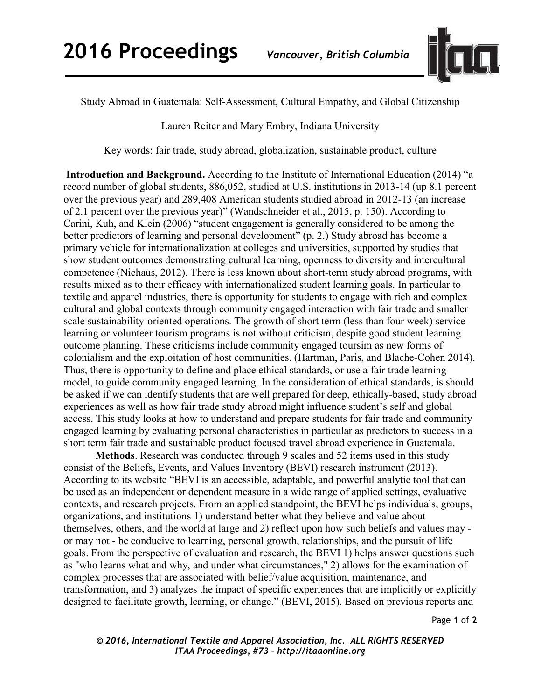

Study Abroad in Guatemala: Self-Assessment, Cultural Empathy, and Global Citizenship

Lauren Reiter and Mary Embry, Indiana University

Key words: fair trade, study abroad, globalization, sustainable product, culture

**Introduction and Background.** According to the Institute of International Education (2014) "a record number of global students, 886,052, studied at U.S. institutions in 2013-14 (up 8.1 percent over the previous year) and 289,408 American students studied abroad in 2012-13 (an increase of 2.1 percent over the previous year)" (Wandschneider et al., 2015, p. 150). According to Carini, Kuh, and Klein (2006) "student engagement is generally considered to be among the better predictors of learning and personal development" (p. 2.) Study abroad has become a primary vehicle for internationalization at colleges and universities, supported by studies that show student outcomes demonstrating cultural learning, openness to diversity and intercultural competence (Niehaus, 2012). There is less known about short-term study abroad programs, with results mixed as to their efficacy with internationalized student learning goals. In particular to textile and apparel industries, there is opportunity for students to engage with rich and complex cultural and global contexts through community engaged interaction with fair trade and smaller scale sustainability-oriented operations. The growth of short term (less than four week) servicelearning or volunteer tourism programs is not without criticism, despite good student learning outcome planning. These criticisms include community engaged toursim as new forms of colonialism and the exploitation of host communities. (Hartman, Paris, and Blache-Cohen 2014). Thus, there is opportunity to define and place ethical standards, or use a fair trade learning model, to guide community engaged learning. In the consideration of ethical standards, is should be asked if we can identify students that are well prepared for deep, ethically-based, study abroad experiences as well as how fair trade study abroad might influence student's self and global access. This study looks at how to understand and prepare students for fair trade and community engaged learning by evaluating personal characteristics in particular as predictors to success in a short term fair trade and sustainable product focused travel abroad experience in Guatemala.

**Methods**. Research was conducted through 9 scales and 52 items used in this study consist of the Beliefs, Events, and Values Inventory (BEVI) research instrument (2013). According to its website "BEVI is an accessible, adaptable, and powerful analytic tool that can be used as an independent or dependent measure in a wide range of applied settings, evaluative contexts, and research projects. From an applied standpoint, the BEVI helps individuals, groups, organizations, and institutions 1) understand better what they believe and value about themselves, others, and the world at large and 2) reflect upon how such beliefs and values may or may not - be conducive to learning, personal growth, relationships, and the pursuit of life goals. From the perspective of evaluation and research, the BEVI 1) helps answer questions such as "who learns what and why, and under what circumstances," 2) allows for the examination of complex processes that are associated with belief/value acquisition, maintenance, and transformation, and 3) analyzes the impact of specific experiences that are implicitly or explicitly designed to facilitate growth, learning, or change." (BEVI, 2015). Based on previous reports and

Page **1** of **2** 

*© 2016, International Textile and Apparel Association, Inc. ALL RIGHTS RESERVED ITAA Proceedings, #73 – http://itaaonline.org*